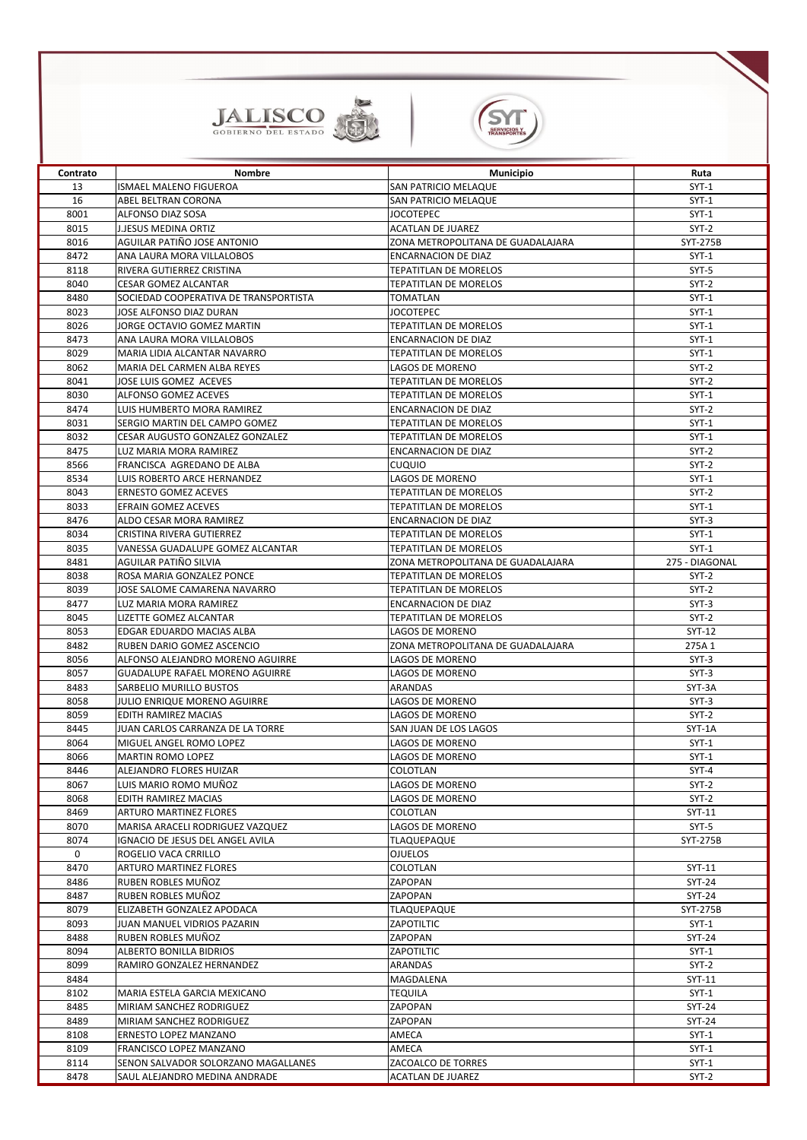



I

| Contrato | <b>Nombre</b>                          | <b>Municipio</b>                  | Ruta            |
|----------|----------------------------------------|-----------------------------------|-----------------|
| 13       | <b>ISMAEL MALENO FIGUEROA</b>          | SAN PATRICIO MELAQUE              | $SYT-1$         |
| 16       | ABEL BELTRAN CORONA                    | SAN PATRICIO MELAQUE              | $SYT-1$         |
| 8001     | <b>ALFONSO DIAZ SOSA</b>               | <b>JOCOTEPEC</b>                  | $SYT-1$         |
| 8015     | <b>J.JESUS MEDINA ORTIZ</b>            | <b>ACATLAN DE JUAREZ</b>          | $SYT-2$         |
| 8016     | AGUILAR PATIÑO JOSE ANTONIO            | ZONA METROPOLITANA DE GUADALAJARA | <b>SYT-275B</b> |
| 8472     | ANA LAURA MORA VILLALOBOS              | <b>ENCARNACION DE DIAZ</b>        | $SYT-1$         |
| 8118     | <b>RIVERA GUTIERREZ CRISTINA</b>       | <b>TEPATITLAN DE MORELOS</b>      | SYT-5           |
| 8040     | <b>CESAR GOMEZ ALCANTAR</b>            | <b>TEPATITLAN DE MORELOS</b>      | $SYT-2$         |
| 8480     | SOCIEDAD COOPERATIVA DE TRANSPORTISTA  | <b>TOMATLAN</b>                   | $SYT-1$         |
|          |                                        |                                   |                 |
| 8023     | JOSE ALFONSO DIAZ DURAN                | <b>JOCOTEPEC</b>                  | $SYT-1$         |
| 8026     | JORGE OCTAVIO GOMEZ MARTIN             | <b>TEPATITLAN DE MORELOS</b>      | $SYT-1$         |
| 8473     | ANA LAURA MORA VILLALOBOS              | <b>ENCARNACION DE DIAZ</b>        | $SYT-1$         |
| 8029     | MARIA LIDIA ALCANTAR NAVARRO           | <b>TEPATITLAN DE MORELOS</b>      | $SYT-1$         |
| 8062     | <b>I</b> MARIA DEL CARMEN ALBA REYES   | <b>LAGOS DE MORENO</b>            | $SYT-2$         |
| 8041     | <b>JOSE LUIS GOMEZ ACEVES</b>          | <b>TEPATITLAN DE MORELOS</b>      | $SYT-2$         |
| 8030     | <b>ALFONSO GOMEZ ACEVES</b>            | <b>TEPATITLAN DE MORELOS</b>      | $SYT-1$         |
| 8474     | LUIS HUMBERTO MORA RAMIREZ             | <b>ENCARNACION DE DIAZ</b>        | $SYT-2$         |
| 8031     | <b>SERGIO MARTIN DEL CAMPO GOMEZ</b>   | <b>TEPATITLAN DE MORELOS</b>      | $SYT-1$         |
| 8032     | <b>CESAR AUGUSTO GONZALEZ GONZALEZ</b> | <b>TEPATITLAN DE MORELOS</b>      | $SYT-1$         |
| 8475     | LUZ MARIA MORA RAMIREZ                 | <b>ENCARNACION DE DIAZ</b>        | $SYT-2$         |
| 8566     | FRANCISCA AGREDANO DE ALBA             | <b>CUQUIO</b>                     | $SYT-2$         |
| 8534     | LUIS ROBERTO ARCE HERNANDEZ            | <b>LAGOS DE MORENO</b>            | $SYT-1$         |
|          |                                        | <b>TEPATITLAN DE MORELOS</b>      |                 |
| 8043     | <b>ERNESTO GOMEZ ACEVES</b>            |                                   | $SYT-2$         |
| 8033     | <b>EFRAIN GOMEZ ACEVES</b>             | <b>TEPATITLAN DE MORELOS</b>      | $SYT-1$         |
| 8476     | ALDO CESAR MORA RAMIREZ                | <b>ENCARNACION DE DIAZ</b>        | $SYT-3$         |
| 8034     | <b>CRISTINA RIVERA GUTIERREZ</b>       | <b>TEPATITLAN DE MORELOS</b>      | $SYT-1$         |
| 8035     | VANESSA GUADALUPE GOMEZ ALCANTAR       | <b>TEPATITLAN DE MORELOS</b>      | $SYT-1$         |
| 8481     | AGUILAR PATIÑO SILVIA                  | ZONA METROPOLITANA DE GUADALAJARA | 275 - DIAGONAL  |
| 8038     | ROSA MARIA GONZALEZ PONCE              | <b>TEPATITLAN DE MORELOS</b>      | SYT-2           |
| 8039     | JOSE SALOME CAMARENA NAVARRO           | <b>TEPATITLAN DE MORELOS</b>      | $SYT-2$         |
| 8477     | LUZ MARIA MORA RAMIREZ                 | <b>ENCARNACION DE DIAZ</b>        | $SYT-3$         |
| 8045     | LIZETTE GOMEZ ALCANTAR                 | <b>TEPATITLAN DE MORELOS</b>      | $SYT-2$         |
| 8053     | <b>EDGAR EDUARDO MACIAS ALBA</b>       | LAGOS DE MORENO                   | SYT-12          |
| 8482     | RUBEN DARIO GOMEZ ASCENCIO             | ZONA METROPOLITANA DE GUADALAJARA | 275A 1          |
| 8056     | ALFONSO ALEJANDRO MORENO AGUIRRE       | LAGOS DE MORENO                   | $SYT-3$         |
| 8057     | <b>GUADALUPE RAFAEL MORENO AGUIRRE</b> | LAGOS DE MORENO                   | $SYT-3$         |
| 8483     | <b>SARBELIO MURILLO BUSTOS</b>         | <b>ARANDAS</b>                    | SYT-3A          |
|          |                                        |                                   |                 |
| 8058     | JULIO ENRIQUE MORENO AGUIRRE           | LAGOS DE MORENO                   | $SYT-3$         |
| 8059     | <b>EDITH RAMIREZ MACIAS</b>            | LAGOS DE MORENO                   | $SYT-2$         |
| 8445     | JUAN CARLOS CARRANZA DE LA TORRE       | SAN JUAN DE LOS LAGOS             | SYT-1A          |
| 8064     | MIGUEL ANGEL ROMO LOPEZ                | LAGOS DE MORENO                   | $SYT-1$         |
| 8066     | <b>MARTIN ROMO LOPEZ</b>               | LAGOS DE MORENO                   | $SYT-1$         |
| 8446     | ALEJANDRO FLORES HUIZAR                | <b>COLOTLAN</b>                   | $SYT-4$         |
| 8067     | LUIS MARIO ROMO MUÑOZ                  | LAGOS DE MORENO                   | $SYT-2$         |
| 8068     | <b>EDITH RAMIREZ MACIAS</b>            | LAGOS DE MORENO                   | $SYT-2$         |
| 8469     | <b>ARTURO MARTINEZ FLORES</b>          | <b>COLOTLAN</b>                   | SYT-11          |
| 8070     | MARISA ARACELI RODRIGUEZ VAZQUEZ       | LAGOS DE MORENO                   | $SYT-5$         |
| 8074     | IGNACIO DE JESUS DEL ANGEL AVILA       | <b>TLAQUEPAQUE</b>                | <b>SYT-275B</b> |
| 0        | ROGELIO VACA CRRILLO                   | <b>OJUELOS</b>                    |                 |
| 8470     | <b>ARTURO MARTINEZ FLORES</b>          | <b>COLOTLAN</b>                   | SYT-11          |
| 8486     | RUBEN ROBLES MUÑOZ                     | ZAPOPAN                           | <b>SYT-24</b>   |
| 8487     | RUBEN ROBLES MUÑOZ                     | ZAPOPAN                           | <b>SYT-24</b>   |
|          |                                        |                                   |                 |
| 8079     | ELIZABETH GONZALEZ APODACA             | <b>TLAQUEPAQUE</b>                | SYT-275B        |
| 8093     | JUAN MANUEL VIDRIOS PAZARIN            | ZAPOTILTIC                        | $SYT-1$         |
| 8488     | RUBEN ROBLES MUÑOZ                     | ZAPOPAN                           | <b>SYT-24</b>   |
| 8094     | ALBERTO BONILLA BIDRIOS                | <b>ZAPOTILTIC</b>                 | $SYT-1$         |
| 8099     | RAMIRO GONZALEZ HERNANDEZ              | <b>ARANDAS</b>                    | $SYT-2$         |
| 8484     |                                        | MAGDALENA                         | SYT-11          |
| 8102     | MARIA ESTELA GARCIA MEXICANO           | <b>TEQUILA</b>                    | $SYT-1$         |
| 8485     | MIRIAM SANCHEZ RODRIGUEZ               | ZAPOPAN                           | <b>SYT-24</b>   |
| 8489     | MIRIAM SANCHEZ RODRIGUEZ               | <b>ZAPOPAN</b>                    | <b>SYT-24</b>   |
| 8108     | <b>ERNESTO LOPEZ MANZANO</b>           | AMECA                             | $SYT-1$         |
| 8109     | <b>FRANCISCO LOPEZ MANZANO</b>         | AMECA                             | $SYT-1$         |
| 8114     | SENON SALVADOR SOLORZANO MAGALLANES    | <b>ZACOALCO DE TORRES</b>         | $SYT-1$         |
|          |                                        |                                   |                 |
| 8478     | SAUL ALEJANDRO MEDINA ANDRADE          | <b>ACATLAN DE JUAREZ</b>          | $SYT-2$         |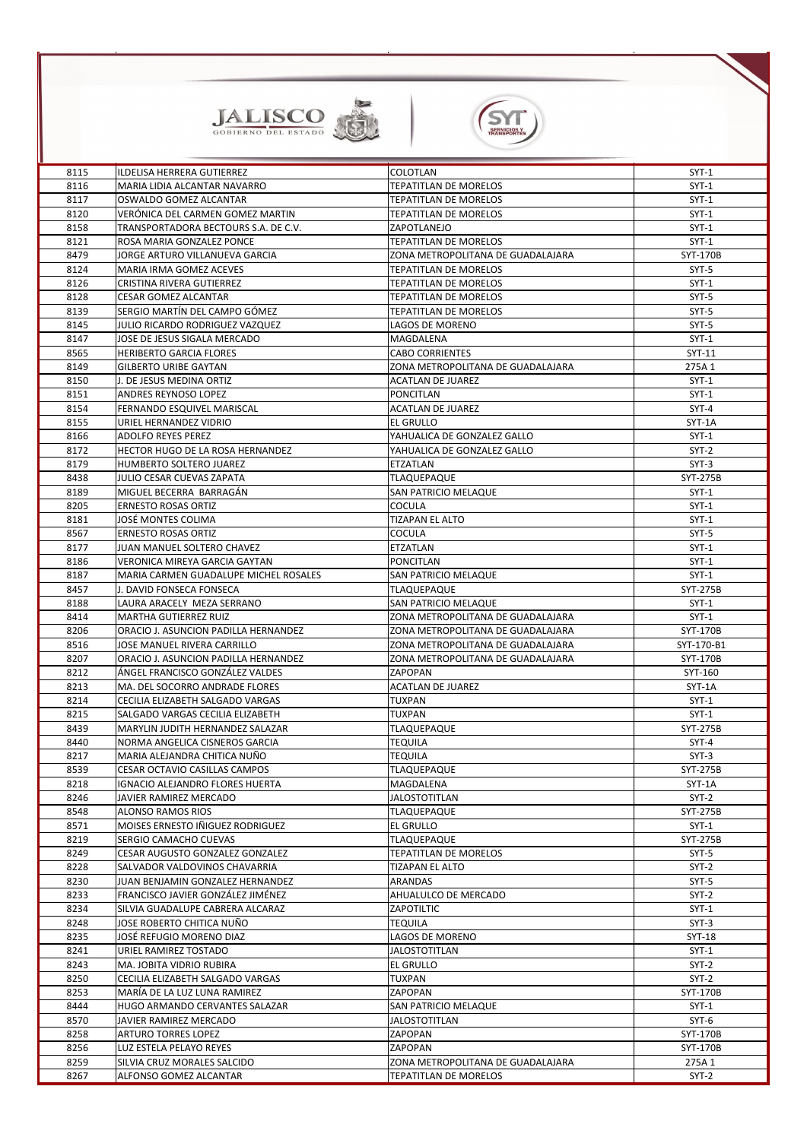



| 8115 | ILDELISA HERRERA GUTIERREZ              | <b>COLOTLAN</b>                   | $SYT-1$         |
|------|-----------------------------------------|-----------------------------------|-----------------|
| 8116 | MARIA LIDIA ALCANTAR NAVARRO            | <b>TEPATITLAN DE MORELOS</b>      | $SYT-1$         |
| 8117 | OSWALDO GOMEZ ALCANTAR                  | <b>TEPATITLAN DE MORELOS</b>      | $SYT-1$         |
| 8120 | VERÓNICA DEL CARMEN GOMEZ MARTIN        | <b>TEPATITLAN DE MORELOS</b>      | $SYT-1$         |
| 8158 | TRANSPORTADORA BECTOURS S.A. DE C.V.    | ZAPOTLANEJO                       | $SYT-1$         |
| 8121 | ROSA MARIA GONZALEZ PONCE               | <b>TEPATITLAN DE MORELOS</b>      | $SYT-1$         |
| 8479 | JORGE ARTURO VILLANUEVA GARCIA          | ZONA METROPOLITANA DE GUADALAJARA | SYT-170B        |
| 8124 | <b>MARIA IRMA GOMEZ ACEVES</b>          | <b>TEPATITLAN DE MORELOS</b>      | $SYT-5$         |
| 8126 | <b>CRISTINA RIVERA GUTIERREZ</b>        | <b>TEPATITLAN DE MORELOS</b>      | $SYT-1$         |
| 8128 | <b>CESAR GOMEZ ALCANTAR</b>             | <b>TEPATITLAN DE MORELOS</b>      | SYT-5           |
| 8139 | SERGIO MARTÍN DEL CAMPO GÓMEZ           | <b>TEPATITLAN DE MORELOS</b>      | SYT-5           |
| 8145 | JULIO RICARDO RODRIGUEZ VAZQUEZ         | LAGOS DE MORENO                   | SYT-5           |
| 8147 | JOSE DE JESUS SIGALA MERCADO            | MAGDALENA                         | $SYT-1$         |
| 8565 | <b>HERIBERTO GARCIA FLORES</b>          | <b>CABO CORRIENTES</b>            | SYT-11          |
| 8149 | <b>GILBERTO URIBE GAYTAN</b>            | ZONA METROPOLITANA DE GUADALAJARA | 275A 1          |
| 8150 | J. DE JESUS MEDINA ORTIZ                | <b>ACATLAN DE JUAREZ</b>          | $SYT-1$         |
| 8151 | ANDRES REYNOSO LOPEZ                    | <b>PONCITLAN</b>                  | $SYT-1$         |
| 8154 | FERNANDO ESQUIVEL MARISCAL              | <b>ACATLAN DE JUAREZ</b>          | $SYT-4$         |
| 8155 | URIEL HERNANDEZ VIDRIO                  | <b>EL GRULLO</b>                  | SYT-1A          |
| 8166 | <b>ADOLFO REYES PEREZ</b>               | YAHUALICA DE GONZALEZ GALLO       | $SYT-1$         |
| 8172 | HECTOR HUGO DE LA ROSA HERNANDEZ        | YAHUALICA DE GONZALEZ GALLO       | $SYT-2$         |
| 8179 | HUMBERTO SOLTERO JUAREZ                 | <b>ETZATLAN</b>                   | $SYT-3$         |
| 8438 | JULIO CESAR CUEVAS ZAPATA               | <b>TLAQUEPAQUE</b>                | <b>SYT-275B</b> |
| 8189 | MIGUEL BECERRA BARRAGÁN                 | <b>SAN PATRICIO MELAQUE</b>       | $SYT-1$         |
| 8205 | <b>ERNESTO ROSAS ORTIZ</b>              | <b>COCULA</b>                     | $SYT-1$         |
| 8181 | <b>JOSÉ MONTES COLIMA</b>               | <b>TIZAPAN EL ALTO</b>            | $SYT-1$         |
| 8567 | <b>ERNESTO ROSAS ORTIZ</b>              | <b>COCULA</b>                     | $SYT-5$         |
| 8177 | JUAN MANUEL SOLTERO CHAVEZ              | <b>ETZATLAN</b>                   | $SYT-1$         |
| 8186 | <b>VERONICA MIREYA GARCIA GAYTAN</b>    | <b>PONCITLAN</b>                  | $SYT-1$         |
| 8187 | MARIA CARMEN GUADALUPE MICHEL ROSALES   | SAN PATRICIO MELAQUE              | $SYT-1$         |
| 8457 | J. DAVID FONSECA FONSECA                | <b>TLAQUEPAQUE</b>                | SYT-275B        |
| 8188 | LAURA ARACELY MEZA SERRANO              | SAN PATRICIO MELAQUE              | $SYT-1$         |
| 8414 | MARTHA GUTIERREZ RUIZ                   | ZONA METROPOLITANA DE GUADALAJARA | $SYT-1$         |
| 8206 | ORACIO J. ASUNCION PADILLA HERNANDEZ    | ZONA METROPOLITANA DE GUADALAJARA | SYT-170B        |
| 8516 | JOSE MANUEL RIVERA CARRILLO             | ZONA METROPOLITANA DE GUADALAJARA | SYT-170-B1      |
| 8207 | ORACIO J. ASUNCION PADILLA HERNANDEZ    | ZONA METROPOLITANA DE GUADALAJARA | SYT-170B        |
| 8212 | ÁNGEL FRANCISCO GONZÁLEZ VALDES         | <b>ZAPOPAN</b>                    | SYT-160         |
| 8213 | MA. DEL SOCORRO ANDRADE FLORES          | <b>ACATLAN DE JUAREZ</b>          | SYT-1A          |
| 8214 | CECILIA ELIZABETH SALGADO VARGAS        | <b>TUXPAN</b>                     | $SYT-1$         |
| 8215 | <b>SALGADO VARGAS CECILIA ELIZABETH</b> | <b>TUXPAN</b>                     | $SYT-1$         |
| 8439 | MARYLIN JUDITH HERNANDEZ SALAZAR        | <b>TLAQUEPAQUE</b>                | <b>SYT-275B</b> |
| 8440 | NORMA ANGELICA CISNEROS GARCIA          | <b>TEQUILA</b>                    | $SYT-4$         |
| 8217 | MARIA ALEJANDRA CHITICA NUÑO            | <b>TEQUILA</b>                    | $SYT-3$         |
| 8539 | <b>CESAR OCTAVIO CASILLAS CAMPOS</b>    | <b>TLAQUEPAQUE</b>                | <b>SYT-275B</b> |
| 8218 | IGNACIO ALEJANDRO FLORES HUERTA         | MAGDALENA                         | SYT-1A          |
| 8246 | JAVIER RAMIREZ MERCADO                  | <b>JALOSTOTITLAN</b>              | $SYT-2$         |
| 8548 | <b>ALONSO RAMOS RIOS</b>                | <b>TLAQUEPAQUE</b>                | <b>SYT-275B</b> |
| 8571 | MOISES ERNESTO IÑIGUEZ RODRIGUEZ        | <b>EL GRULLO</b>                  | $SYT-1$         |
| 8219 | <b>SERGIO CAMACHO CUEVAS</b>            | <b>TLAQUEPAQUE</b>                | <b>SYT-275B</b> |
| 8249 | <b>CESAR AUGUSTO GONZALEZ GONZALEZ</b>  | <b>TEPATITLAN DE MORELOS</b>      | $SYT-5$         |
| 8228 | <b>SALVADOR VALDOVINOS CHAVARRIA</b>    | <b>TIZAPAN EL ALTO</b>            | $SYT-2$         |
| 8230 | JUAN BENJAMIN GONZALEZ HERNANDEZ        | ARANDAS                           | $SYT-5$         |
| 8233 | FRANCISCO JAVIER GONZÁLEZ JIMÉNEZ       | AHUALULCO DE MERCADO              | $SYT-2$         |
| 8234 | SILVIA GUADALUPE CABRERA ALCARAZ        | <b>ZAPOTILTIC</b>                 | $SYT-1$         |
| 8248 | JOSE ROBERTO CHITICA NUÑO               | <b>TEQUILA</b>                    | $SYT-3$         |
| 8235 | JOSÉ REFUGIO MORENO DIAZ                | LAGOS DE MORENO                   | <b>SYT-18</b>   |
| 8241 | URIEL RAMIREZ TOSTADO                   | <b>JALOSTOTITLAN</b>              | $SYT-1$         |
| 8243 | <b>MA. JOBITA VIDRIO RUBIRA</b>         | <b>EL GRULLO</b>                  | $SYT-2$         |
| 8250 | CECILIA ELIZABETH SALGADO VARGAS        | <b>TUXPAN</b>                     | $SYT-2$         |
| 8253 | MARÍA DE LA LUZ LUNA RAMIREZ            | ZAPOPAN                           | SYT-170B        |
| 8444 | HUGO ARMANDO CERVANTES SALAZAR          | <b>SAN PATRICIO MELAQUE</b>       | $SYT-1$         |
| 8570 | JAVIER RAMIREZ MERCADO                  | <b>JALOSTOTITLAN</b>              | SYT-6           |
| 8258 | <b>ARTURO TORRES LOPEZ</b>              | ZAPOPAN                           | SYT-170B        |
| 8256 | LUZ ESTELA PELAYO REYES                 | ZAPOPAN                           | SYT-170B        |
| 8259 | SILVIA CRUZ MORALES SALCIDO             | ZONA METROPOLITANA DE GUADALAJARA | 275A 1          |
| 8267 | <b>ALFONSO GOMEZ ALCANTAR</b>           | <b>TEPATITLAN DE MORELOS</b>      | $SYT-2$         |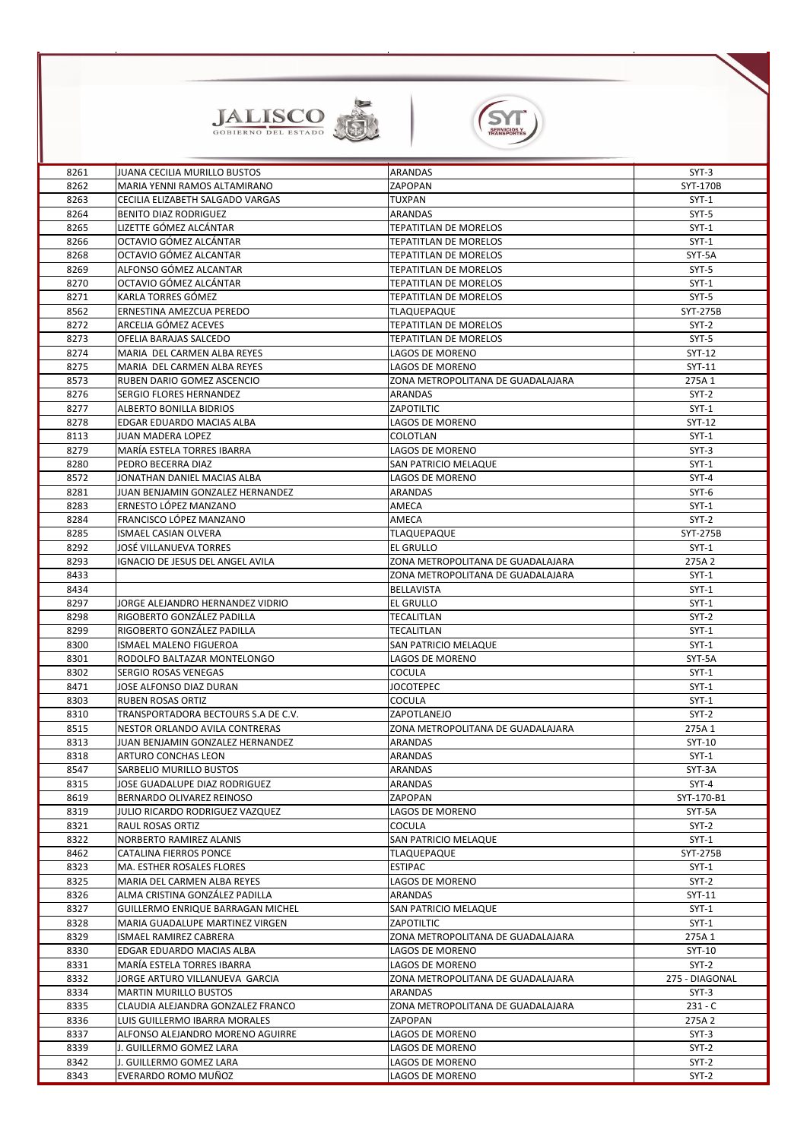



| 8261 | JUANA CECILIA MURILLO BUSTOS        | <b>ARANDAS</b>                    | $SYT-3$         |
|------|-------------------------------------|-----------------------------------|-----------------|
| 8262 | MARIA YENNI RAMOS ALTAMIRANO        | ZAPOPAN                           | SYT-170B        |
| 8263 | CECILIA ELIZABETH SALGADO VARGAS    | <b>TUXPAN</b>                     | $SYT-1$         |
| 8264 | <b>BENITO DIAZ RODRIGUEZ</b>        | <b>ARANDAS</b>                    | $SYT-5$         |
| 8265 | LIZETTE GÓMEZ ALCÁNTAR              | <b>TEPATITLAN DE MORELOS</b>      | $SYT-1$         |
| 8266 | OCTAVIO GÓMEZ ALCÁNTAR              | <b>TEPATITLAN DE MORELOS</b>      | $SYT-1$         |
| 8268 | OCTAVIO GÓMEZ ALCANTAR              | <b>TEPATITLAN DE MORELOS</b>      | SYT-5A          |
| 8269 | ALFONSO GÓMEZ ALCANTAR              | <b>TEPATITLAN DE MORELOS</b>      | $SYT-5$         |
| 8270 | OCTAVIO GÓMEZ ALCÁNTAR              | <b>TEPATITLAN DE MORELOS</b>      | $SYT-1$         |
| 8271 | KARLA TORRES GÓMEZ                  | <b>TEPATITLAN DE MORELOS</b>      | $SYT-5$         |
| 8562 | ERNESTINA AMEZCUA PEREDO            | <b>TLAQUEPAQUE</b>                | SYT-275B        |
| 8272 | ARCELIA GÓMEZ ACEVES                | <b>TEPATITLAN DE MORELOS</b>      | $SYT-2$         |
| 8273 | OFELIA BARAJAS SALCEDO              | <b>TEPATITLAN DE MORELOS</b>      | $SYT-5$         |
| 8274 | MARIA DEL CARMEN ALBA REYES         | <b>LAGOS DE MORENO</b>            | SYT-12          |
| 8275 | MARIA DEL CARMEN ALBA REYES         | <b>LAGOS DE MORENO</b>            | SYT-11          |
| 8573 | RUBEN DARIO GOMEZ ASCENCIO          | ZONA METROPOLITANA DE GUADALAJARA | 275A 1          |
| 8276 | <b>SERGIO FLORES HERNANDEZ</b>      | <b>ARANDAS</b>                    | $SYT-2$         |
| 8277 | <b>ALBERTO BONILLA BIDRIOS</b>      | ZAPOTILTIC                        | $SYT-1$         |
| 8278 | <b>EDGAR EDUARDO MACIAS ALBA</b>    | <b>LAGOS DE MORENO</b>            | SYT-12          |
| 8113 | <b>JUAN MADERA LOPEZ</b>            | <b>COLOTLAN</b>                   | $SYT-1$         |
| 8279 | <b>MARÍA ESTELA TORRES IBARRA</b>   | LAGOS DE MORENO                   | $SYT-3$         |
| 8280 | PEDRO BECERRA DIAZ                  | <b>SAN PATRICIO MELAQUE</b>       | $SYT-1$         |
| 8572 | JONATHAN DANIEL MACIAS ALBA         | <b>LAGOS DE MORENO</b>            | $SYT-4$         |
| 8281 | JUAN BENJAMIN GONZALEZ HERNANDEZ    | <b>ARANDAS</b>                    | $SYT-6$         |
| 8283 | ERNESTO LÓPEZ MANZANO               | AMECA                             | $SYT-1$         |
| 8284 | FRANCISCO LÓPEZ MANZANO             | <b>AMECA</b>                      | $SYT-2$         |
| 8285 | <b>ISMAEL CASIAN OLVERA</b>         | <b>TLAQUEPAQUE</b>                | <b>SYT-275B</b> |
| 8292 | JOSÉ VILLANUEVA TORRES              | <b>EL GRULLO</b>                  | $SYT-1$         |
| 8293 | IGNACIO DE JESUS DEL ANGEL AVILA    | ZONA METROPOLITANA DE GUADALAJARA | 275A 2          |
| 8433 |                                     | ZONA METROPOLITANA DE GUADALAJARA | $SYT-1$         |
| 8434 |                                     | <b>BELLAVISTA</b>                 | $SYT-1$         |
| 8297 | JORGE ALEJANDRO HERNANDEZ VIDRIO    | <b>EL GRULLO</b>                  | $SYT-1$         |
| 8298 | RIGOBERTO GONZÁLEZ PADILLA          | <b>TECALITLAN</b>                 | $SYT-2$         |
| 8299 | RIGOBERTO GONZÁLEZ PADILLA          | <b>TECALITLAN</b>                 | $SYT-1$         |
| 8300 | ISMAEL MALENO FIGUEROA              | <b>SAN PATRICIO MELAQUE</b>       | $SYT-1$         |
| 8301 | RODOLFO BALTAZAR MONTELONGO         | LAGOS DE MORENO                   | SYT-5A          |
| 8302 | <b>SERGIO ROSAS VENEGAS</b>         | <b>COCULA</b>                     | $SYT-1$         |
| 8471 | JOSE ALFONSO DIAZ DURAN             | <b>JOCOTEPEC</b>                  | $SYT-1$         |
| 8303 | <b>RUBEN ROSAS ORTIZ</b>            | <b>COCULA</b>                     | $SYT-1$         |
| 8310 | TRANSPORTADORA BECTOURS S.A DE C.V. | ZAPOTLANEJO                       | $SYT-2$         |
| 8515 | NESTOR ORLANDO AVILA CONTRERAS      | ZONA METROPOLITANA DE GUADALAJARA | 275A 1          |
| 8313 | JUAN BENJAMIN GONZALEZ HERNANDEZ    | <b>ARANDAS</b>                    | SYT-10          |
| 8318 | <b>ARTURO CONCHAS LEON</b>          | <b>ARANDAS</b>                    | $SYT-1$         |
| 8547 | <b>SARBELIO MURILLO BUSTOS</b>      | <b>ARANDAS</b>                    | SYT-3A          |
| 8315 | JOSE GUADALUPE DIAZ RODRIGUEZ       | ARANDAS                           | $SYT-4$         |
| 8619 | BERNARDO OLIVAREZ REINOSO           | ZAPOPAN                           | SYT-170-B1      |
| 8319 | JULIO RICARDO RODRIGUEZ VAZQUEZ     | LAGOS DE MORENO                   | SYT-5A          |
| 8321 | RAUL ROSAS ORTIZ                    | <b>COCULA</b>                     | $SYT-2$         |
| 8322 | <b>NORBERTO RAMIREZ ALANIS</b>      | <b>SAN PATRICIO MELAQUE</b>       | $SYT-1$         |
| 8462 | <b>CATALINA FIERROS PONCE</b>       | <b>TLAQUEPAQUE</b>                | SYT-275B        |

| 8323 | <b>I</b> MA. ESTHER ROSALES FLORES       | <b>ESTIPAC</b>                    | $SYT-1$        |
|------|------------------------------------------|-----------------------------------|----------------|
| 8325 | <b>MARIA DEL CARMEN ALBA REYES</b>       | LAGOS DE MORENO                   | $SYT-2$        |
| 8326 | ALMA CRISTINA GONZÁLEZ PADILLA           | ARANDAS                           | $SYT-11$       |
| 8327 | <b>GUILLERMO ENRIQUE BARRAGAN MICHEL</b> | SAN PATRICIO MELAQUE              | $SYT-1$        |
| 8328 | IMARIA GUADALUPE MARTINEZ VIRGEN         | ZAPOTILTIC                        | $SYT-1$        |
| 8329 | ISMAEL RAMIREZ CABRERA                   | ZONA METROPOLITANA DE GUADALAJARA | 275A 1         |
| 8330 | <b>EDGAR EDUARDO MACIAS ALBA</b>         | LAGOS DE MORENO                   | SYT-10         |
| 8331 | MARÍA ESTELA TORRES IBARRA               | LAGOS DE MORENO                   | $SYT-2$        |
| 8332 | JORGE ARTURO VILLANUEVA GARCIA           | ZONA METROPOLITANA DE GUADALAJARA | 275 - DIAGONAL |
| 8334 | IMARTIN MURILLO BUSTOS                   | ARANDAS                           | $SYT-3$        |
| 8335 | CLAUDIA ALEJANDRA GONZALEZ FRANCO        | ZONA METROPOLITANA DE GUADALAJARA | $231 - C$      |
| 8336 | LUIS GUILLERMO IBARRA MORALES            | ZAPOPAN                           | 275A 2         |
| 8337 | IALFONSO ALEJANDRO MORENO AGUIRRE        | LAGOS DE MORENO                   | $SYT-3$        |
| 8339 | J. GUILLERMO GOMEZ LARA                  | LAGOS DE MORENO                   | $SYT-2$        |
| 8342 | J. GUILLERMO GOMEZ LARA                  | LAGOS DE MORENO                   | $SYT-2$        |
| 8343 | EVERARDO ROMO MUÑOZ                      | LAGOS DE MORENO                   | $SYT-2$        |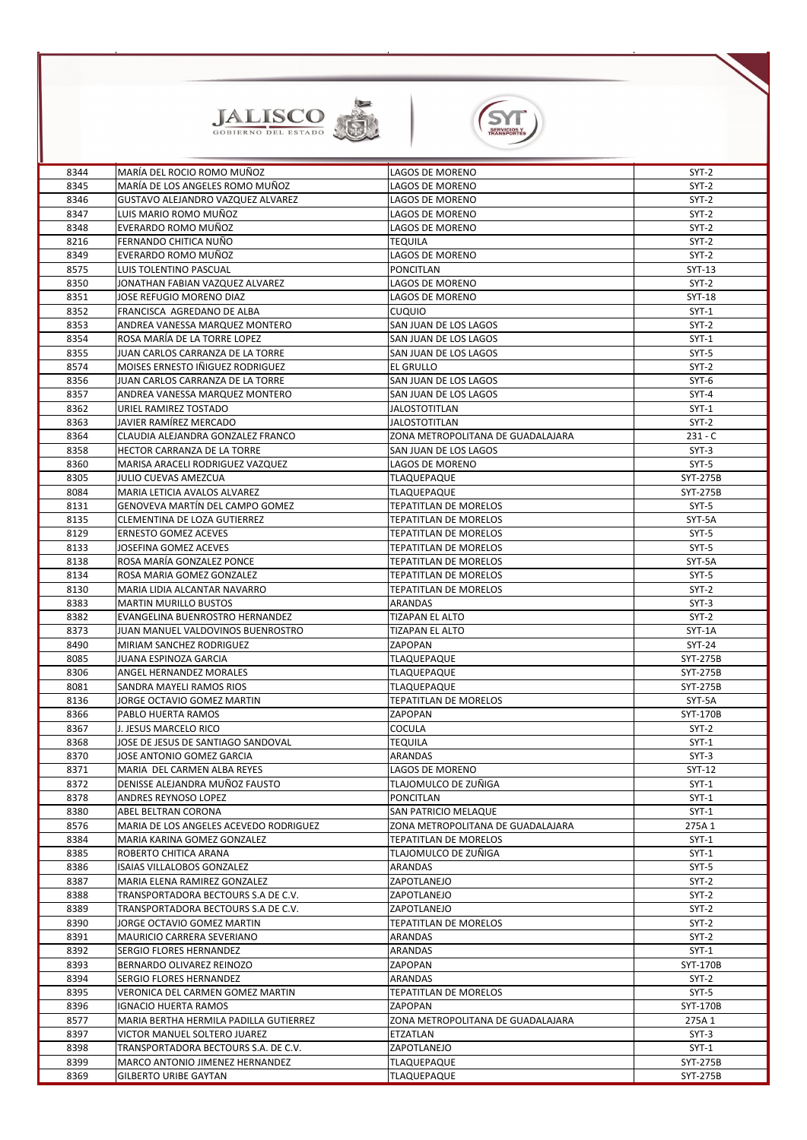



| 8344 | MARÍA DEL ROCIO ROMO MUÑOZ                    | <b>LAGOS DE MORENO</b>            | $SYT-2$         |
|------|-----------------------------------------------|-----------------------------------|-----------------|
| 8345 | MARÍA DE LOS ANGELES ROMO MUÑOZ               | <b>LAGOS DE MORENO</b>            | $SYT-2$         |
| 8346 | GUSTAVO ALEJANDRO VAZQUEZ ALVAREZ             | <b>LAGOS DE MORENO</b>            | $SYT-2$         |
| 8347 | LUIS MARIO ROMO MUÑOZ                         | <b>LAGOS DE MORENO</b>            | $SYT-2$         |
| 8348 | EVERARDO ROMO MUÑOZ                           | LAGOS DE MORENO                   | $SYT-2$         |
| 8216 | FERNANDO CHITICA NUÑO                         | <b>TEQUILA</b>                    | $SYT-2$         |
| 8349 | EVERARDO ROMO MUÑOZ                           | LAGOS DE MORENO                   | $SYT-2$         |
| 8575 | LUIS TOLENTINO PASCUAL                        | <b>PONCITLAN</b>                  | SYT-13          |
| 8350 | JONATHAN FABIAN VAZQUEZ ALVAREZ               | <b>LAGOS DE MORENO</b>            | $SYT-2$         |
| 8351 | JOSE REFUGIO MORENO DIAZ                      | <b>LAGOS DE MORENO</b>            | <b>SYT-18</b>   |
| 8352 | FRANCISCA AGREDANO DE ALBA                    | <b>CUQUIO</b>                     | $SYT-1$         |
| 8353 | <b>ANDREA VANESSA MARQUEZ MONTERO</b>         | <b>SAN JUAN DE LOS LAGOS</b>      | $SYT-2$         |
| 8354 | ROSA MARÍA DE LA TORRE LOPEZ                  | SAN JUAN DE LOS LAGOS             | $SYT-1$         |
| 8355 | JUAN CARLOS CARRANZA DE LA TORRE              | SAN JUAN DE LOS LAGOS             | SYT-5           |
| 8574 | <b>MOISES ERNESTO IÑIGUEZ RODRIGUEZ</b>       | <b>EL GRULLO</b>                  | $SYT-2$         |
| 8356 | JUAN CARLOS CARRANZA DE LA TORRE              | SAN JUAN DE LOS LAGOS             | $SYT-6$         |
| 8357 | ANDREA VANESSA MARQUEZ MONTERO                | SAN JUAN DE LOS LAGOS             | SYT-4           |
| 8362 | URIEL RAMIREZ TOSTADO                         | <b>JALOSTOTITLAN</b>              | $SYT-1$         |
| 8363 | JAVIER RAMÍREZ MERCADO                        | <b>JALOSTOTITLAN</b>              | $SYT-2$         |
| 8364 | CLAUDIA ALEJANDRA GONZALEZ FRANCO             | ZONA METROPOLITANA DE GUADALAJARA | $231 - C$       |
| 8358 | <b>HECTOR CARRANZA DE LA TORRE</b>            | SAN JUAN DE LOS LAGOS             | $SYT-3$         |
| 8360 | MARISA ARACELI RODRIGUEZ VAZQUEZ              | <b>LAGOS DE MORENO</b>            | SYT-5           |
| 8305 | JULIO CUEVAS AMEZCUA                          | <b>TLAQUEPAQUE</b>                | <b>SYT-275B</b> |
|      |                                               |                                   |                 |
| 8084 | MARIA LETICIA AVALOS ALVAREZ                  | <b>TLAQUEPAQUE</b>                | <b>SYT-275B</b> |
| 8131 | <b>GENOVEVA MARTÍN DEL CAMPO GOMEZ</b>        | <b>TEPATITLAN DE MORELOS</b>      | SYT-5           |
| 8135 | <b>CLEMENTINA DE LOZA GUTIERREZ</b>           | <b>TEPATITLAN DE MORELOS</b>      | SYT-5A          |
| 8129 | <b>ERNESTO GOMEZ ACEVES</b>                   | <b>TEPATITLAN DE MORELOS</b>      | SYT-5           |
| 8133 | JOSEFINA GOMEZ ACEVES                         | <b>TEPATITLAN DE MORELOS</b>      | SYT-5           |
| 8138 | ROSA MARÍA GONZALEZ PONCE                     | <b>TEPATITLAN DE MORELOS</b>      | SYT-5A          |
| 8134 | ROSA MARIA GOMEZ GONZALEZ                     | <b>TEPATITLAN DE MORELOS</b>      | SYT-5           |
| 8130 | MARIA LIDIA ALCANTAR NAVARRO                  | <b>TEPATITLAN DE MORELOS</b>      | $SYT-2$         |
| 8383 | IMARTIN MURILLO BUSTOS                        | <b>ARANDAS</b>                    | $SYT-3$         |
| 8382 | EVANGELINA BUENROSTRO HERNANDEZ               | <b>TIZAPAN EL ALTO</b>            | $SYT-2$         |
| 8373 | JUAN MANUEL VALDOVINOS BUENROSTRO             | <b>TIZAPAN EL ALTO</b>            | SYT-1A          |
| 8490 | <b>I</b> MIRIAM SANCHEZ RODRIGUEZ             | ZAPOPAN                           | <b>SYT-24</b>   |
| 8085 | JUANA ESPINOZA GARCIA                         | <b>TLAQUEPAQUE</b>                | <b>SYT-275B</b> |
| 8306 | <b>ANGEL HERNANDEZ MORALES</b>                | <b>TLAQUEPAQUE</b>                | <b>SYT-275B</b> |
| 8081 | ISANDRA MAYELI RAMOS RIOS                     | <b>TLAQUEPAQUE</b>                | <b>SYT-275B</b> |
| 8136 | JORGE OCTAVIO GOMEZ MARTIN                    | <b>TEPATITLAN DE MORELOS</b>      | SYT-5A          |
| 8366 | PABLO HUERTA RAMOS                            | ZAPOPAN                           | SYT-170B        |
| 8367 | J. JESUS MARCELO RICO                         | <b>COCULA</b>                     | $SYT-2$         |
| 8368 | JOSE DE JESUS DE SANTIAGO SANDOVAL            | <b>TEQUILA</b>                    | $SYT-1$         |
| 8370 | JOSE ANTONIO GOMEZ GARCIA                     | <b>ARANDAS</b>                    | $SYT-3$         |
| 8371 | MARIA DEL CARMEN ALBA REYES                   | LAGOS DE MORENO                   | $SYT-12$        |
| 8372 | DENISSE ALEJANDRA MUÑOZ FAUSTO                | TLAJOMULCO DE ZUÑIGA              | $SYT-1$         |
| 8378 | <b>ANDRES REYNOSO LOPEZ</b>                   | <b>PONCITLAN</b>                  | $SYT-1$         |
| 8380 | <b>ABEL BELTRAN CORONA</b>                    | SAN PATRICIO MELAQUE              | $SYT-1$         |
| 8576 | <b>MARIA DE LOS ANGELES ACEVEDO RODRIGUEZ</b> | ZONA METROPOLITANA DE GUADALAJARA | 275A 1          |
| 8384 | MARIA KARINA GOMEZ GONZALEZ                   | <b>TEPATITLAN DE MORELOS</b>      | $SYT-1$         |
| 8385 | <b>ROBERTO CHITICA ARANA</b>                  | TLAJOMULCO DE ZUÑIGA              | $SYT-1$         |
| 8386 | ISAIAS VILLALOBOS GONZALEZ                    | <b>ARANDAS</b>                    | SYT-5           |
| 8387 | MARIA ELENA RAMIREZ GONZALEZ                  | ZAPOTLANEJO                       | $SYT-2$         |
| 8388 | TRANSPORTADORA BECTOURS S.A DE C.V.           | <b>ZAPOTLANEJO</b>                | $SYT-2$         |
| 8389 | TRANSPORTADORA BECTOURS S.A DE C.V.           | ZAPOTLANEJO                       | $SYT-2$         |
| 8390 | JORGE OCTAVIO GOMEZ MARTIN                    | <b>TEPATITLAN DE MORELOS</b>      | $SYT-2$         |
| 8391 | MAURICIO CARRERA SEVERIANO                    | <b>ARANDAS</b>                    | $SYT-2$         |
| 8392 | <b>I</b> SERGIO FLORES HERNANDEZ              | <b>ARANDAS</b>                    | $SYT-1$         |
| 8393 | <b>BERNARDO OLIVAREZ REINOZO</b>              | ZAPOPAN                           | SYT-170B        |
| 8394 | <b>SERGIO FLORES HERNANDEZ</b>                | <b>ARANDAS</b>                    | $SYT-2$         |
| 8395 | <b>VERONICA DEL CARMEN GOMEZ MARTIN</b>       | <b>TEPATITLAN DE MORELOS</b>      | $SYT-5$         |
| 8396 | <b>IGNACIO HUERTA RAMOS</b>                   | <b>ZAPOPAN</b>                    | SYT-170B        |
| 8577 | MARIA BERTHA HERMILA PADILLA GUTIERREZ        | ZONA METROPOLITANA DE GUADALAJARA | 275A 1          |
| 8397 | VICTOR MANUEL SOLTERO JUAREZ                  | <b>ETZATLAN</b>                   | $SYT-3$         |
| 8398 | TRANSPORTADORA BECTOURS S.A. DE C.V.          | ZAPOTLANEJO                       | $SYT-1$         |
| 8399 | <b>MARCO ANTONIO JIMENEZ HERNANDEZ</b>        | <b>TLAQUEPAQUE</b>                | SYT-275B        |
| 8369 | <b>GILBERTO URIBE GAYTAN</b>                  | <b>TLAQUEPAQUE</b>                | SYT-275B        |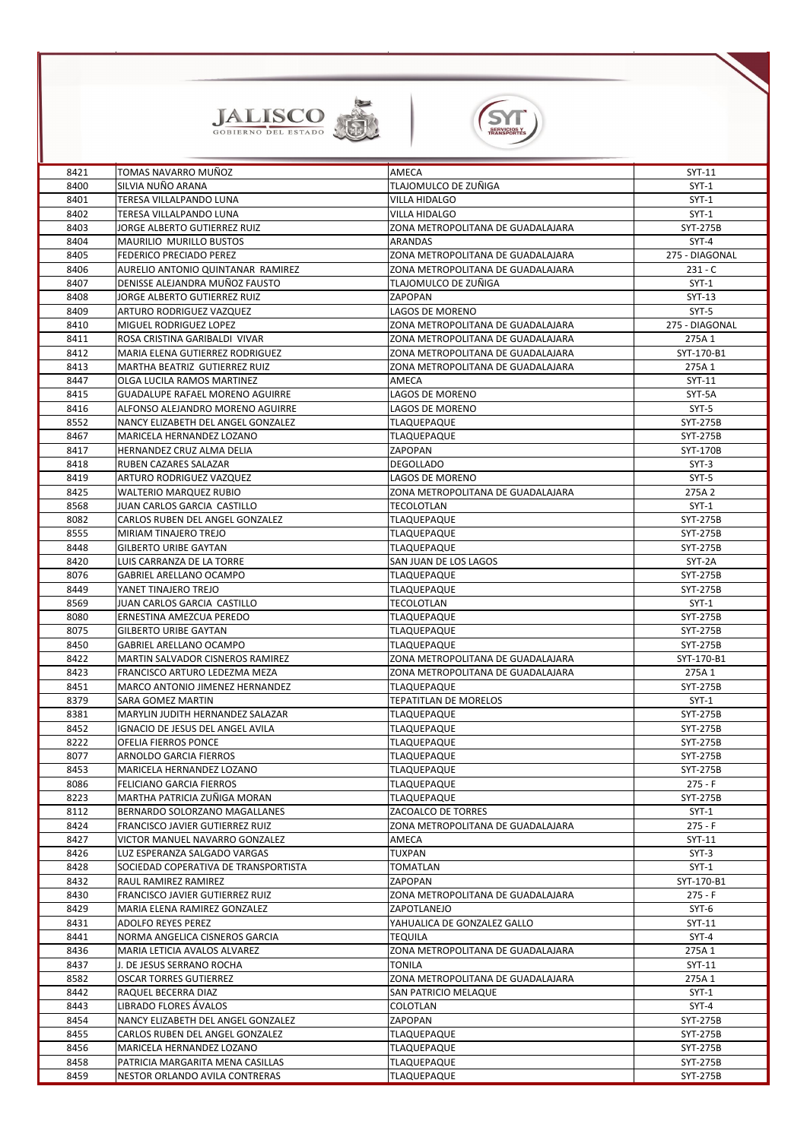



| 8421 | TOMAS NAVARRO MUÑOZ                     | <b>AMECA</b>                      | SYT-11          |
|------|-----------------------------------------|-----------------------------------|-----------------|
| 8400 | SILVIA NUÑO ARANA                       | TLAJOMULCO DE ZUÑIGA              | $SYT-1$         |
| 8401 | TERESA VILLALPANDO LUNA                 | <b>VILLA HIDALGO</b>              | $SYT-1$         |
| 8402 | TERESA VILLALPANDO LUNA                 | <b>VILLA HIDALGO</b>              | $SYT-1$         |
| 8403 | JORGE ALBERTO GUTIERREZ RUIZ            | ZONA METROPOLITANA DE GUADALAJARA | <b>SYT-275B</b> |
| 8404 | <b>MAURILIO MURILLO BUSTOS</b>          | <b>ARANDAS</b>                    | $SYT-4$         |
|      | <b>FEDERICO PRECIADO PEREZ</b>          |                                   | 275 - DIAGONAL  |
| 8405 |                                         | ZONA METROPOLITANA DE GUADALAJARA |                 |
| 8406 | AURELIO ANTONIO QUINTANAR RAMIREZ       | ZONA METROPOLITANA DE GUADALAJARA | $231 - C$       |
| 8407 | DENISSE ALEJANDRA MUÑOZ FAUSTO          | TLAJOMULCO DE ZUÑIGA              | $SYT-1$         |
| 8408 | JORGE ALBERTO GUTIERREZ RUIZ            | ZAPOPAN                           | $SYT-13$        |
| 8409 | ARTURO RODRIGUEZ VAZQUEZ                | <b>LAGOS DE MORENO</b>            | $SYT-5$         |
| 8410 | <b>MIGUEL RODRIGUEZ LOPEZ</b>           | ZONA METROPOLITANA DE GUADALAJARA | 275 - DIAGONAL  |
| 8411 | ROSA CRISTINA GARIBALDI VIVAR           | ZONA METROPOLITANA DE GUADALAJARA | 275A 1          |
| 8412 | MARIA ELENA GUTIERREZ RODRIGUEZ         | ZONA METROPOLITANA DE GUADALAJARA | SYT-170-B1      |
| 8413 | MARTHA BEATRIZ GUTIERREZ RUIZ           | ZONA METROPOLITANA DE GUADALAJARA | 275A 1          |
| 8447 | OLGA LUCILA RAMOS MARTINEZ              | AMECA                             | SYT-11          |
| 8415 | <b>GUADALUPE RAFAEL MORENO AGUIRRE</b>  | <b>LAGOS DE MORENO</b>            | SYT-5A          |
| 8416 | ALFONSO ALEJANDRO MORENO AGUIRRE        | LAGOS DE MORENO                   | $SYT-5$         |
| 8552 | NANCY ELIZABETH DEL ANGEL GONZALEZ      | <b>TLAQUEPAQUE</b>                | <b>SYT-275B</b> |
| 8467 | MARICELA HERNANDEZ LOZANO               | <b>TLAQUEPAQUE</b>                | <b>SYT-275B</b> |
|      |                                         |                                   |                 |
| 8417 | HERNANDEZ CRUZ ALMA DELIA               | ZAPOPAN                           | SYT-170B        |
| 8418 | <b>RUBEN CAZARES SALAZAR</b>            | <b>DEGOLLADO</b>                  | $SYT-3$         |
| 8419 | ARTURO RODRIGUEZ VAZQUEZ                | LAGOS DE MORENO                   | $SYT-5$         |
| 8425 | <b>WALTERIO MARQUEZ RUBIO</b>           | ZONA METROPOLITANA DE GUADALAJARA | 275A 2          |
| 8568 | JUAN CARLOS GARCIA CASTILLO             | <b>TECOLOTLAN</b>                 | $SYT-1$         |
| 8082 | CARLOS RUBEN DEL ANGEL GONZALEZ         | <b>TLAQUEPAQUE</b>                | <b>SYT-275B</b> |
| 8555 | <b>MIRIAM TINAJERO TREJO</b>            | <b>TLAQUEPAQUE</b>                | <b>SYT-275B</b> |
| 8448 | <b>GILBERTO URIBE GAYTAN</b>            | <b>TLAQUEPAQUE</b>                | <b>SYT-275B</b> |
| 8420 | LUIS CARRANZA DE LA TORRE               | SAN JUAN DE LOS LAGOS             | SYT-2A          |
| 8076 | <b>GABRIEL ARELLANO OCAMPO</b>          | <b>TLAQUEPAQUE</b>                | <b>SYT-275B</b> |
| 8449 | YANET TINAJERO TREJO                    | <b>TLAQUEPAQUE</b>                | SYT-275B        |
| 8569 | JUAN CARLOS GARCIA CASTILLO             | <b>TECOLOTLAN</b>                 | $SYT-1$         |
| 8080 | <b>ERNESTINA AMEZCUA PEREDO</b>         | <b>TLAQUEPAQUE</b>                | <b>SYT-275B</b> |
| 8075 | <b>GILBERTO URIBE GAYTAN</b>            | <b>TLAQUEPAQUE</b>                | <b>SYT-275B</b> |
|      | <b>GABRIEL ARELLANO OCAMPO</b>          |                                   |                 |
| 8450 |                                         | <b>TLAQUEPAQUE</b>                | <b>SYT-275B</b> |
| 8422 | <b>MARTIN SALVADOR CISNEROS RAMIREZ</b> | ZONA METROPOLITANA DE GUADALAJARA | SYT-170-B1      |
| 8423 | FRANCISCO ARTURO LEDEZMA MEZA           | ZONA METROPOLITANA DE GUADALAJARA | 275A 1          |
| 8451 | <b>MARCO ANTONIO JIMENEZ HERNANDEZ</b>  | <b>TLAQUEPAQUE</b>                | <b>SYT-275B</b> |
| 8379 | <b>SARA GOMEZ MARTIN</b>                | TEPATITLAN DE MORELOS             | $SYT-1$         |
| 8381 | MARYLIN JUDITH HERNANDEZ SALAZAR        | <b>TLAQUEPAQUE</b>                | <b>SYT-275B</b> |
| 8452 | IGNACIO DE JESUS DEL ANGEL AVILA        | <b>TLAQUEPAQUE</b>                | <b>SYT-275B</b> |
| 8222 | <b>OFELIA FIERROS PONCE</b>             | <b>TLAQUEPAQUE</b>                | SYT-275B        |
| 8077 | <b>ARNOLDO GARCIA FIERROS</b>           | <b>TLAQUEPAQUE</b>                | <b>SYT-275B</b> |
| 8453 | MARICELA HERNANDEZ LOZANO               | <b>TLAQUEPAQUE</b>                | <b>SYT-275B</b> |
| 8086 | <b>FELICIANO GARCIA FIERROS</b>         | <b>TLAQUEPAQUE</b>                | $275 - F$       |
| 8223 | MARTHA PATRICIA ZUÑIGA MORAN            | <b>TLAQUEPAQUE</b>                | <b>SYT-275B</b> |
| 8112 | <b>BERNARDO SOLORZANO MAGALLANES</b>    | <b>ZACOALCO DE TORRES</b>         | $SYT-1$         |
| 8424 | <b>FRANCISCO JAVIER GUTIERREZ RUIZ</b>  | ZONA METROPOLITANA DE GUADALAJARA | $275 - F$       |
| 8427 | <b>VICTOR MANUEL NAVARRO GONZALEZ</b>   | AMECA                             | SYT-11          |
| 8426 | LUZ ESPERANZA SALGADO VARGAS            | <b>TUXPAN</b>                     | $SYT-3$         |
|      |                                         |                                   |                 |
| 8428 | SOCIEDAD COPERATIVA DE TRANSPORTISTA    | <b>TOMATLAN</b>                   | $SYT-1$         |
| 8432 | RAUL RAMIREZ RAMIREZ                    | ZAPOPAN                           | SYT-170-B1      |
| 8430 | <b>FRANCISCO JAVIER GUTIERREZ RUIZ</b>  | ZONA METROPOLITANA DE GUADALAJARA | $275 - F$       |
| 8429 | MARIA ELENA RAMIREZ GONZALEZ            | ZAPOTLANEJO                       | $SYT-6$         |
| 8431 | <b>ADOLFO REYES PEREZ</b>               | YAHUALICA DE GONZALEZ GALLO       | SYT-11          |
| 8441 | NORMA ANGELICA CISNEROS GARCIA          | <b>TEQUILA</b>                    | $SYT-4$         |
| 8436 | MARIA LETICIA AVALOS ALVAREZ            | ZONA METROPOLITANA DE GUADALAJARA | 275A 1          |
| 8437 | J. DE JESUS SERRANO ROCHA               | <b>TONILA</b>                     | SYT-11          |
| 8582 | <b>OSCAR TORRES GUTIERREZ</b>           | ZONA METROPOLITANA DE GUADALAJARA | 275A 1          |
| 8442 | RAQUEL BECERRA DIAZ                     | <b>SAN PATRICIO MELAQUE</b>       | $SYT-1$         |
| 8443 | LIBRADO FLORES ÁVALOS                   | <b>COLOTLAN</b>                   | SYT-4           |
| 8454 | NANCY ELIZABETH DEL ANGEL GONZALEZ      | ZAPOPAN                           | <b>SYT-275B</b> |
| 8455 | <b>CARLOS RUBEN DEL ANGEL GONZALEZ</b>  | <b>TLAQUEPAQUE</b>                | SYT-275B        |
| 8456 | MARICELA HERNANDEZ LOZANO               | <b>TLAQUEPAQUE</b>                | <b>SYT-275B</b> |
| 8458 | PATRICIA MARGARITA MENA CASILLAS        | <b>TLAQUEPAQUE</b>                | SYT-275B        |
|      |                                         | <b>TLAQUEPAQUE</b>                |                 |
| 8459 | NESTOR ORLANDO AVILA CONTRERAS          |                                   | SYT-275B        |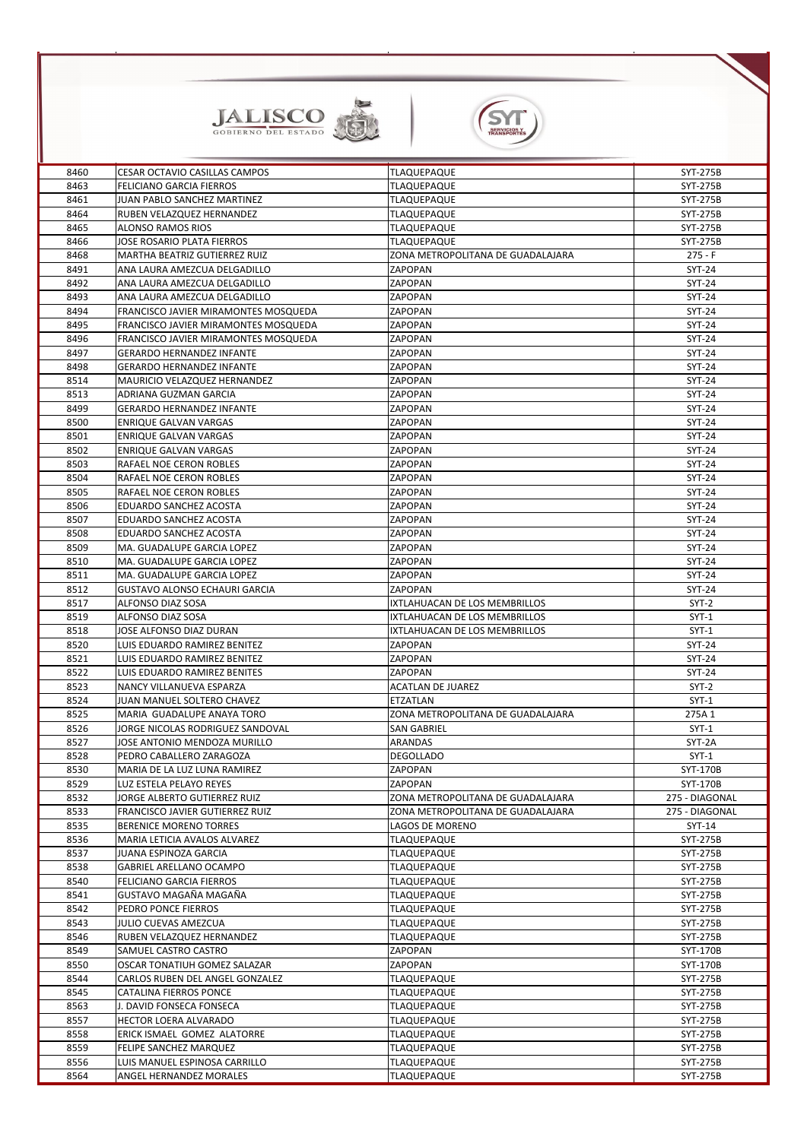



| 8460         | <b>CESAR OCTAVIO CASILLAS CAMPOS</b>                         | <b>TLAQUEPAQUE</b>                 | <b>SYT-275B</b>          |
|--------------|--------------------------------------------------------------|------------------------------------|--------------------------|
| 8463         | <b>FELICIANO GARCIA FIERROS</b>                              | <b>TLAQUEPAQUE</b>                 | <b>SYT-275B</b>          |
| 8461         | JUAN PABLO SANCHEZ MARTINEZ                                  | <b>TLAQUEPAQUE</b>                 | <b>SYT-275B</b>          |
| 8464         | <b>RUBEN VELAZQUEZ HERNANDEZ</b>                             | <b>TLAQUEPAQUE</b>                 | <b>SYT-275B</b>          |
| 8465         | <b>ALONSO RAMOS RIOS</b>                                     | <b>TLAQUEPAQUE</b>                 | <b>SYT-275B</b>          |
| 8466         | <b>JOSE ROSARIO PLATA FIERROS</b>                            | <b>TLAQUEPAQUE</b>                 | SYT-275B                 |
| 8468         | <b>MARTHA BEATRIZ GUTIERREZ RUIZ</b>                         | ZONA METROPOLITANA DE GUADALAJARA  | $275 - F$                |
| 8491         | ANA LAURA AMEZCUA DELGADILLO                                 | <b>ZAPOPAN</b>                     | <b>SYT-24</b>            |
| 8492         | ANA LAURA AMEZCUA DELGADILLO                                 | <b>ZAPOPAN</b>                     | <b>SYT-24</b>            |
| 8493         | ANA LAURA AMEZCUA DELGADILLO                                 | <b>ZAPOPAN</b>                     | <b>SYT-24</b>            |
| 8494         | FRANCISCO JAVIER MIRAMONTES MOSQUEDA                         | <b>ZAPOPAN</b>                     | <b>SYT-24</b>            |
| 8495         | FRANCISCO JAVIER MIRAMONTES MOSQUEDA                         | <b>ZAPOPAN</b>                     | <b>SYT-24</b>            |
| 8496         | FRANCISCO JAVIER MIRAMONTES MOSQUEDA                         | <b>ZAPOPAN</b>                     | <b>SYT-24</b>            |
| 8497         | <b>GERARDO HERNANDEZ INFANTE</b>                             | <b>ZAPOPAN</b>                     | <b>SYT-24</b>            |
| 8498         | <b>GERARDO HERNANDEZ INFANTE</b>                             | <b>ZAPOPAN</b>                     | <b>SYT-24</b>            |
| 8514         | MAURICIO VELAZQUEZ HERNANDEZ                                 | <b>ZAPOPAN</b>                     | <b>SYT-24</b>            |
| 8513         | ADRIANA GUZMAN GARCIA                                        | <b>ZAPOPAN</b>                     | <b>SYT-24</b>            |
| 8499         | <b>GERARDO HERNANDEZ INFANTE</b>                             | <b>ZAPOPAN</b>                     | <b>SYT-24</b>            |
| 8500         | <b>ENRIQUE GALVAN VARGAS</b>                                 | ZAPOPAN                            | <b>SYT-24</b>            |
| 8501         | <b>ENRIQUE GALVAN VARGAS</b>                                 | <b>ZAPOPAN</b>                     | <b>SYT-24</b>            |
| 8502         | <b>ENRIQUE GALVAN VARGAS</b>                                 | <b>ZAPOPAN</b>                     | <b>SYT-24</b>            |
| 8503         | <b>RAFAEL NOE CERON ROBLES</b>                               | <b>ZAPOPAN</b>                     | <b>SYT-24</b>            |
| 8504         | <b>RAFAEL NOE CERON ROBLES</b>                               | <b>ZAPOPAN</b>                     | <b>SYT-24</b>            |
| 8505         | <b>RAFAEL NOE CERON ROBLES</b>                               | <b>ZAPOPAN</b>                     | <b>SYT-24</b>            |
| 8506         | <b>EDUARDO SANCHEZ ACOSTA</b>                                | <b>ZAPOPAN</b>                     | <b>SYT-24</b>            |
| 8507         | <b>EDUARDO SANCHEZ ACOSTA</b>                                | <b>ZAPOPAN</b>                     | <b>SYT-24</b>            |
| 8508         | <b>EDUARDO SANCHEZ ACOSTA</b>                                | <b>ZAPOPAN</b>                     | <b>SYT-24</b>            |
| 8509         | MA. GUADALUPE GARCIA LOPEZ                                   | <b>ZAPOPAN</b>                     | <b>SYT-24</b>            |
| 8510         | MA. GUADALUPE GARCIA LOPEZ                                   | <b>ZAPOPAN</b>                     | <b>SYT-24</b>            |
| 8511         | MA. GUADALUPE GARCIA LOPEZ                                   | <b>ZAPOPAN</b>                     | <b>SYT-24</b>            |
| 8512         | <b>GUSTAVO ALONSO ECHAURI GARCIA</b>                         | <b>ZAPOPAN</b>                     | <b>SYT-24</b>            |
| 8517         | <b>ALFONSO DIAZ SOSA</b>                                     | IXTLAHUACAN DE LOS MEMBRILLOS      | $SYT-2$                  |
| 8519         | ALFONSO DIAZ SOSA                                            | IXTLAHUACAN DE LOS MEMBRILLOS      | $SYT-1$                  |
| 8518         | JOSE ALFONSO DIAZ DURAN                                      | IXTLAHUACAN DE LOS MEMBRILLOS      | $SYT-1$                  |
| 8520         | LUIS EDUARDO RAMIREZ BENITEZ                                 | <b>ZAPOPAN</b>                     | <b>SYT-24</b>            |
| 8521         | LUIS EDUARDO RAMIREZ BENITEZ<br>LUIS EDUARDO RAMIREZ BENITES | <b>ZAPOPAN</b><br>ZAPOPAN          | <b>SYT-24</b>            |
| 8522<br>8523 | NANCY VILLANUEVA ESPARZA                                     | <b>ACATLAN DE JUAREZ</b>           | <b>SYT-24</b><br>$SYT-2$ |
| 8524         | JUAN MANUEL SOLTERO CHAVEZ                                   | <b>ETZATLAN</b>                    | $SYT-1$                  |
| 8525         | MARIA GUADALUPE ANAYA TORO                                   | IZONA METROPOLITANA DE GUADALAJARA | 275A 1                   |
| 8526         | JORGE NICOLAS RODRIGUEZ SANDOVAL                             | <b>SAN GABRIEL</b>                 | $SYT-1$                  |
| 8527         | JOSE ANTONIO MENDOZA MURILLO                                 | <b>ARANDAS</b>                     | SYT-2A                   |
| 8528         | PEDRO CABALLERO ZARAGOZA                                     | <b>DEGOLLADO</b>                   | $SYT-1$                  |
| 8530         | MARIA DE LA LUZ LUNA RAMIREZ                                 | ZAPOPAN                            | SYT-170B                 |
| 8529         | LUZ ESTELA PELAYO REYES                                      | <b>ZAPOPAN</b>                     | SYT-170B                 |
| 8532         | <b>JORGE ALBERTO GUTIERREZ RUIZ</b>                          | IZONA METROPOLITANA DE GUADALAJARA | 275 - DIAGONAL           |
| 8533         | <b>FRANCISCO JAVIER GUTIERREZ RUIZ</b>                       | ZONA METROPOLITANA DE GUADALAJARA  | 275 - DIAGONAL           |
| 8535         | <b>BERENICE MORENO TORRES</b>                                | LAGOS DE MORENO                    | SYT-14                   |
| 8536         | MARIA LETICIA AVALOS ALVAREZ                                 | <b>TLAQUEPAQUE</b>                 | <b>SYT-275B</b>          |
| 8537         | <b>JUANA ESPINOZA GARCIA</b>                                 | <b>TLAQUEPAQUE</b>                 | <b>SYT-275B</b>          |
| 8538         | <b>GABRIEL ARELLANO OCAMPO</b>                               | <b>TLAQUEPAQUE</b>                 | SYT-275B                 |
| 8540         | <b>FELICIANO GARCIA FIERROS</b>                              | <b>TLAQUEPAQUE</b>                 | <b>SYT-275B</b>          |
| 8541         | GUSTAVO MAGAÑA MAGAÑA                                        | <b>TLAQUEPAQUE</b>                 | SYT-275B                 |
| 8542         | PEDRO PONCE FIERROS                                          | <b>TLAQUEPAQUE</b>                 | <b>SYT-275B</b>          |
| 8543         | <b>JULIO CUEVAS AMEZCUA</b>                                  | <b>TLAQUEPAQUE</b>                 | SYT-275B                 |
| 8546         | RUBEN VELAZQUEZ HERNANDEZ                                    | <b>TLAQUEPAQUE</b>                 | <b>SYT-275B</b>          |
| 8549         | SAMUEL CASTRO CASTRO                                         | <b>ZAPOPAN</b>                     | SYT-170B                 |
| 8550         | <b>OSCAR TONATIUH GOMEZ SALAZAR</b>                          | <b>ZAPOPAN</b>                     | SYT-170B                 |
| 8544         | <b>CARLOS RUBEN DEL ANGEL GONZALEZ</b>                       | <b>TLAQUEPAQUE</b>                 | <b>SYT-275B</b>          |
| 8545         | <b>CATALINA FIERROS PONCE</b>                                | <b>TLAQUEPAQUE</b>                 | SYT-275B                 |
| 8563         | J. DAVID FONSECA FONSECA                                     | <b>TLAQUEPAQUE</b>                 | <b>SYT-275B</b>          |
| 8557         | <b>HECTOR LOERA ALVARADO</b>                                 | TLAQUEPAQUE                        | SYT-275B                 |
| 8558         | ERICK ISMAEL GOMEZ ALATORRE                                  | <b>TLAQUEPAQUE</b>                 | SYT-275B                 |
| 8559         | FELIPE SANCHEZ MARQUEZ                                       | <b>TLAQUEPAQUE</b>                 | SYT-275B                 |
| 8556         | LUIS MANUEL ESPINOSA CARRILLO                                | <b>TLAQUEPAQUE</b>                 | SYT-275B                 |
| 8564         | <b>ANGEL HERNANDEZ MORALES</b>                               | <b>TLAQUEPAQUE</b>                 | SYT-275B                 |